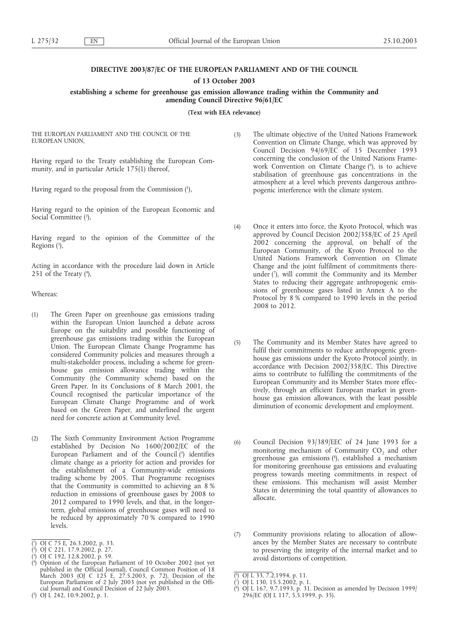# **DIRECTIVE 2003/87/EC OF THE EUROPEAN PARLIAMENT AND OF THE COUNCIL**

**of 13 October 2003**

**establishing a scheme for greenhouse gas emission allowance trading within the Community and amending Council Directive 96/61/EC**

**(Text with EEA relevance)**

THE EUROPEAN PARLIAMENT AND THE COUNCIL OF THE EUROPEAN UNION,

Having regard to the Treaty establishing the European Community, and in particular Article 175(1) thereof,

Having regard to the proposal from the Commission (1 ),

Having regard to the opinion of the European Economic and Social Committee (2),

Having regard to the opinion of the Committee of the Regions (3),

Acting in accordance with the procedure laid down in Article 251 of the Treaty  $(4)$ ,

# Whereas:

- (1) The Green Paper on greenhouse gas emissions trading within the European Union launched a debate across Europe on the suitability and possible functioning of greenhouse gas emissions trading within the European Union. The European Climate Change Programme has considered Community policies and measures through a multi-stakeholder process, including a scheme for greenhouse gas emission allowance trading within the Community (the Community scheme) based on the Green Paper. In its Conclusions of 8 March 2001, the Council recognised the particular importance of the European Climate Change Programme and of work based on the Green Paper, and underlined the urgent need for concrete action at Community level.
- (2) The Sixth Community Environment Action Programme established by Decision No 1600/2002/EC of the European Parliament and of the Council (5) identifies climate change as a priority for action and provides for the establishment of a Community-wide emissions trading scheme by 2005. That Programme recognises that the Community is committed to achieving an 8 % reduction in emissions of greenhouse gases by 2008 to 2012 compared to 1990 levels, and that, in the longerterm, global emissions of greenhouse gases will need to be reduced by approximately 70 % compared to 1990 levels.
- ( 1 ) OJ C 75 E, 26.3.2002, p. 33.
- ( 2 ) OJ C 221, 17.9.2002, p. 27.
- ( 3 ) OJ C 192, 12.8.2002, p. 59.

( 5 ) OJ L 242, 10.9.2002, p. 1.

- (3) The ultimate objective of the United Nations Framework Convention on Climate Change, which was approved by Council Decision 94/69/EC of 15 December 1993 concerning the conclusion of the United Nations Framework Convention on Climate Change (<sup>6</sup>), is to achieve stabilisation of greenhouse gas concentrations in the atmosphere at a level which prevents dangerous anthropogenic interference with the climate system.
- (4) Once it enters into force, the Kyoto Protocol, which was approved by Council Decision 2002/358/EC of 25 April 2002 concerning the approval, on behalf of the European Community, of the Kyoto Protocol to the United Nations Framework Convention on Climate Change and the joint fulfilment of commitments thereunder (7 ), will commit the Community and its Member States to reducing their aggregate anthropogenic emissions of greenhouse gases listed in Annex A to the Protocol by 8 % compared to 1990 levels in the period 2008 to 2012.
- (5) The Community and its Member States have agreed to fulfil their commitments to reduce anthropogenic greenhouse gas emissions under the Kyoto Protocol jointly, in accordance with Decision 2002/358/EC. This Directive aims to contribute to fulfilling the commitments of the European Community and its Member States more effectively, through an efficient European market in greenhouse gas emission allowances, with the least possible diminution of economic development and employment.
- (6) Council Decision 93/389/EEC of 24 June 1993 for a monitoring mechanism of Community  $CO<sub>2</sub>$  and other greenhouse gas emissions (8 ), established a mechanism for monitoring greenhouse gas emissions and evaluating progress towards meeting commitments in respect of these emissions. This mechanism will assist Member States in determining the total quantity of allowances to allocate.
- (7) Community provisions relating to allocation of allowances by the Member States are necessary to contribute to preserving the integrity of the internal market and to avoid distortions of competition.

( 8 ) OJ L 167, 9.7.1993, p. 31. Decision as amended by Decision 1999/ 296/EC (OJ L 117, 5.5.1999, p. 35).

<sup>(</sup> 4 ) Opinion of the European Parliament of 10 October 2002 (not yet published in the Official Journal), Council Common Position of 18 March 2003 (OJ C 125 E, 27.5.2003, p. 72), Decision of the European Parliament of 2 July 2003 (not yet published in the Official Journal) and Council Decision of 22 July 2003.

<sup>(</sup> 6 ) OJ L 33, 7.2.1994, p. 11.

<sup>(</sup> 7 ) OJ L 130, 15.5.2002, p. 1.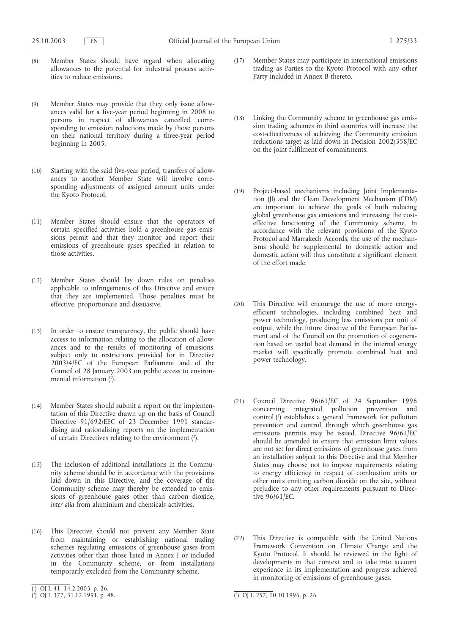- (8) Member States should have regard when allocating allowances to the potential for industrial process activities to reduce emissions.
- (9) Member States may provide that they only issue allowances valid for a five-year period beginning in 2008 to persons in respect of allowances cancelled, corresponding to emission reductions made by those persons on their national territory during a three-year period beginning in 2005.
- (10) Starting with the said five-year period, transfers of allowances to another Member State will involve corresponding adjustments of assigned amount units under the Kyoto Protocol.
- (11) Member States should ensure that the operators of certain specified activities hold a greenhouse gas emissions permit and that they monitor and report their emissions of greenhouse gases specified in relation to those activities.
- (12) Member States should lay down rules on penalties applicable to infringements of this Directive and ensure that they are implemented. Those penalties must be effective, proportionate and dissuasive.
- (13) In order to ensure transparency, the public should have access to information relating to the allocation of allowances and to the results of monitoring of emissions, subject only to restrictions provided for in Directive 2003/4/EC of the European Parliament and of the Council of 28 January 2003 on public access to environmental information (1).
- (14) Member States should submit a report on the implementation of this Directive drawn up on the basis of Council Directive 91/692/EEC of 23 December 1991 standardising and rationalising reports on the implementation of certain Directives relating to the environment (2).
- (15) The inclusion of additional installations in the Community scheme should be in accordance with the provisions laid down in this Directive, and the coverage of the Community scheme may thereby be extended to emissions of greenhouse gases other than carbon dioxide, *inter alia* from aluminium and chemicals activities.
- (16) This Directive should not prevent any Member State from maintaining or establishing national trading schemes regulating emissions of greenhouse gases from activities other than those listed in Annex I or included in the Community scheme, or from installations temporarily excluded from the Community scheme.
- (17) Member States may participate in international emissions trading as Parties to the Kyoto Protocol with any other Party included in Annex B thereto.
- (18) Linking the Community scheme to greenhouse gas emission trading schemes in third countries will increase the cost-effectiveness of achieving the Community emission reductions target as laid down in Decision 2002/358/EC on the joint fulfilment of commitments.
- (19) Project-based mechanisms including Joint Implementation (JI) and the Clean Development Mechanism (CDM) are important to achieve the goals of both reducing global greenhouse gas emissions and increasing the costeffective functioning of the Community scheme. In accordance with the relevant provisions of the Kyoto Protocol and Marrakech Accords, the use of the mechanisms should be supplemental to domestic action and domestic action will thus constitute a significant element of the effort made.
- (20) This Directive will encourage the use of more energyefficient technologies, including combined heat and power technology, producing less emissions per unit of output, while the future directive of the European Parliament and of the Council on the promotion of cogeneration based on useful heat demand in the internal energy market will specifically promote combined heat and power technology.
- (21) Council Directive 96/61/EC of 24 September 1996 concerning integrated pollution prevention and control (3 ) establishes a general framework for pollution prevention and control, through which greenhouse gas emissions permits may be issued. Directive 96/61/EC should be amended to ensure that emission limit values are not set for direct emissions of greenhouse gases from an installation subject to this Directive and that Member States may choose not to impose requirements relating to energy efficiency in respect of combustion units or other units emitting carbon dioxide on the site, without prejudice to any other requirements pursuant to Directive 96/61/EC.
- (22) This Directive is compatible with the United Nations Framework Convention on Climate Change and the Kyoto Protocol. It should be reviewed in the light of developments in that context and to take into account experience in its implementation and progress achieved in monitoring of emissions of greenhouse gases.

<sup>(</sup> 1 ) OJ L 41, 14.2.2003, p. 26.

<sup>(</sup> $^{2}$ ) OJ L 377, 31.12.1991, p. 48.

<sup>3</sup> ) OJ L 257, 10.10.1996, p. 26.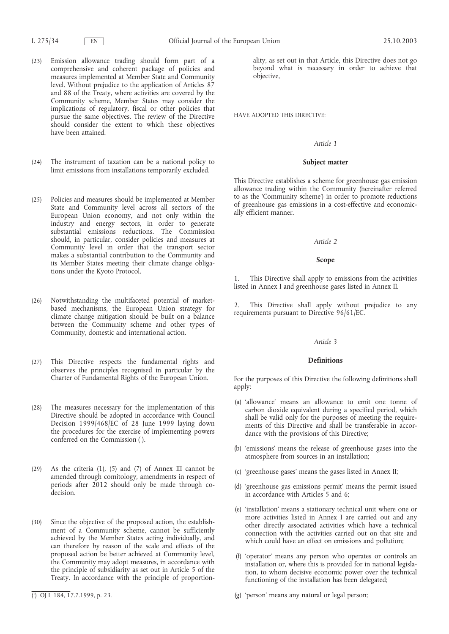- (23) Emission allowance trading should form part of a comprehensive and coherent package of policies and measures implemented at Member State and Community level. Without prejudice to the application of Articles 87 and 88 of the Treaty, where activities are covered by the Community scheme, Member States may consider the implications of regulatory, fiscal or other policies that pursue the same objectives. The review of the Directive should consider the extent to which these objectives have been attained.
- (24) The instrument of taxation can be a national policy to limit emissions from installations temporarily excluded.
- (25) Policies and measures should be implemented at Member State and Community level across all sectors of the European Union economy, and not only within the industry and energy sectors, in order to generate substantial emissions reductions. The Commission should, in particular, consider policies and measures at Community level in order that the transport sector makes a substantial contribution to the Community and its Member States meeting their climate change obligations under the Kyoto Protocol.
- (26) Notwithstanding the multifaceted potential of marketbased mechanisms, the European Union strategy for climate change mitigation should be built on a balance between the Community scheme and other types of Community, domestic and international action.
- (27) This Directive respects the fundamental rights and observes the principles recognised in particular by the Charter of Fundamental Rights of the European Union.
- (28) The measures necessary for the implementation of this Directive should be adopted in accordance with Council Decision 1999/468/EC of 28 June 1999 laying down the procedures for the exercise of implementing powers conferred on the Commission (1).
- (29) As the criteria (1), (5) and (7) of Annex III cannot be amended through comitology, amendments in respect of periods after 2012 should only be made through codecision.
- (30) Since the objective of the proposed action, the establishment of a Community scheme, cannot be sufficiently achieved by the Member States acting individually, and can therefore by reason of the scale and effects of the proposed action be better achieved at Community level, the Community may adopt measures, in accordance with the principle of subsidiarity as set out in Article 5 of the Treaty. In accordance with the principle of proportion-

ality, as set out in that Article, this Directive does not go beyond what is necessary in order to achieve that objective,

HAVE ADOPTED THIS DIRECTIVE:

## *Article 1*

# **Subject matter**

This Directive establishes a scheme for greenhouse gas emission allowance trading within the Community (hereinafter referred to as the 'Community scheme') in order to promote reductions of greenhouse gas emissions in a cost-effective and economically efficient manner.

# *Article 2*

# **Scope**

1. This Directive shall apply to emissions from the activities listed in Annex I and greenhouse gases listed in Annex II.

2. This Directive shall apply without prejudice to any requirements pursuant to Directive 96/61/EC.

#### *Article 3*

# **Definitions**

For the purposes of this Directive the following definitions shall apply:

- (a) 'allowance' means an allowance to emit one tonne of carbon dioxide equivalent during a specified period, which shall be valid only for the purposes of meeting the requirements of this Directive and shall be transferable in accordance with the provisions of this Directive;
- (b) 'emissions' means the release of greenhouse gases into the atmosphere from sources in an installation;
- (c) 'greenhouse gases' means the gases listed in Annex II;
- (d) 'greenhouse gas emissions permit' means the permit issued in accordance with Articles 5 and 6;
- (e) 'installation' means a stationary technical unit where one or more activities listed in Annex I are carried out and any other directly associated activities which have a technical connection with the activities carried out on that site and which could have an effect on emissions and pollution;
- (f) 'operator' means any person who operates or controls an installation or, where this is provided for in national legislation, to whom decisive economic power over the technical functioning of the installation has been delegated;
- (g) 'person' means any natural or legal person;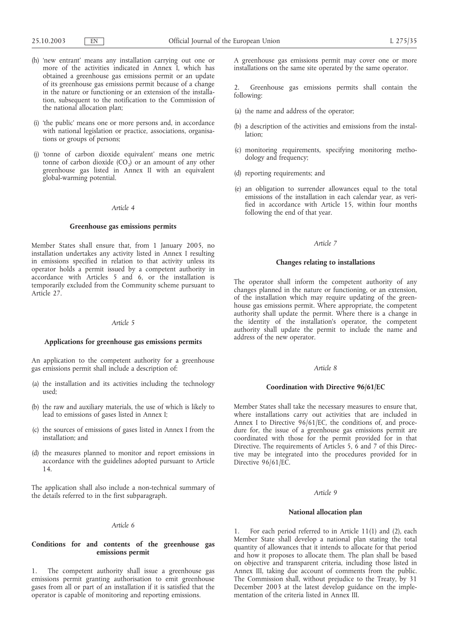- (h) 'new entrant' means any installation carrying out one or more of the activities indicated in Annex I, which has obtained a greenhouse gas emissions permit or an update of its greenhouse gas emissions permit because of a change in the nature or functioning or an extension of the installation, subsequent to the notification to the Commission of the national allocation plan;
- (i) 'the public' means one or more persons and, in accordance with national legislation or practice, associations, organisations or groups of persons;
- (j) 'tonne of carbon dioxide equivalent' means one metric tonne of carbon dioxide  $(CO<sub>2</sub>)$  or an amount of any other greenhouse gas listed in Annex II with an equivalent global-warming potential.

# *Article 4*

### **Greenhouse gas emissions permits**

Member States shall ensure that, from 1 January 2005, no installation undertakes any activity listed in Annex I resulting in emissions specified in relation to that activity unless its operator holds a permit issued by a competent authority in accordance with Articles 5 and 6, or the installation is temporarily excluded from the Community scheme pursuant to Article 27.

#### *Article 5*

# **Applications for greenhouse gas emissions permits**

An application to the competent authority for a greenhouse gas emissions permit shall include a description of:

- (a) the installation and its activities including the technology used;
- (b) the raw and auxiliary materials, the use of which is likely to lead to emissions of gases listed in Annex I;
- (c) the sources of emissions of gases listed in Annex I from the installation; and
- (d) the measures planned to monitor and report emissions in accordance with the guidelines adopted pursuant to Article 14.

The application shall also include a non-technical summary of the details referred to in the first subparagraph.

### *Article 6*

# **Conditions for and contents of the greenhouse gas emissions permit**

1. The competent authority shall issue a greenhouse gas emissions permit granting authorisation to emit greenhouse gases from all or part of an installation if it is satisfied that the operator is capable of monitoring and reporting emissions.

A greenhouse gas emissions permit may cover one or more installations on the same site operated by the same operator.

Greenhouse gas emissions permits shall contain the following:

- (a) the name and address of the operator;
- (b) a description of the activities and emissions from the installation;
- (c) monitoring requirements, specifying monitoring methodology and frequency;
- (d) reporting requirements; and
- (e) an obligation to surrender allowances equal to the total emissions of the installation in each calendar year, as verified in accordance with Article 15, within four months following the end of that year.

# *Article 7*

### **Changes relating to installations**

The operator shall inform the competent authority of any changes planned in the nature or functioning, or an extension, of the installation which may require updating of the greenhouse gas emissions permit. Where appropriate, the competent authority shall update the permit. Where there is a change in the identity of the installation's operator, the competent authority shall update the permit to include the name and address of the new operator.

# *Article 8*

### **Coordination with Directive 96/61/EC**

Member States shall take the necessary measures to ensure that, where installations carry out activities that are included in Annex I to Directive 96/61/EC, the conditions of, and procedure for, the issue of a greenhouse gas emissions permit are coordinated with those for the permit provided for in that Directive. The requirements of Articles 5, 6 and 7 of this Directive may be integrated into the procedures provided for in Directive 96/61/EC.

#### *Article 9*

### **National allocation plan**

1. For each period referred to in Article 11(1) and (2), each Member State shall develop a national plan stating the total quantity of allowances that it intends to allocate for that period and how it proposes to allocate them. The plan shall be based on objective and transparent criteria, including those listed in Annex III, taking due account of comments from the public. The Commission shall, without prejudice to the Treaty, by 31 December 2003 at the latest develop guidance on the implementation of the criteria listed in Annex III.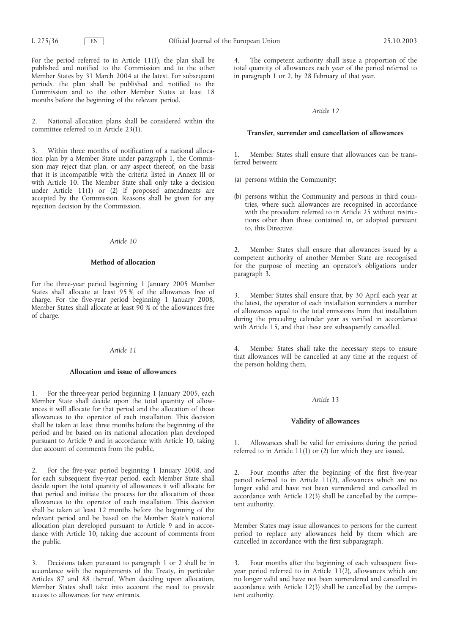For the period referred to in Article 11(1), the plan shall be published and notified to the Commission and to the other Member States by 31 March 2004 at the latest. For subsequent periods, the plan shall be published and notified to the Commission and to the other Member States at least 18 months before the beginning of the relevant period.

2. National allocation plans shall be considered within the committee referred to in Article 23(1).

3. Within three months of notification of a national allocation plan by a Member State under paragraph 1, the Commission may reject that plan, or any aspect thereof, on the basis that it is incompatible with the criteria listed in Annex III or with Article 10. The Member State shall only take a decision under Article 11(1) or (2) if proposed amendments are accepted by the Commission. Reasons shall be given for any rejection decision by the Commission.

## *Article 10*

# **Method of allocation**

For the three-year period beginning 1 January 2005 Member States shall allocate at least 95 % of the allowances free of charge. For the five-year period beginning 1 January 2008, Member States shall allocate at least 90 % of the allowances free of charge.

## *Article 11*

#### **Allocation and issue of allowances**

1. For the three-year period beginning 1 January 2005, each Member State shall decide upon the total quantity of allowances it will allocate for that period and the allocation of those allowances to the operator of each installation. This decision shall be taken at least three months before the beginning of the period and be based on its national allocation plan developed pursuant to Article 9 and in accordance with Article 10, taking due account of comments from the public.

2. For the five-year period beginning 1 January 2008, and for each subsequent five-year period, each Member State shall decide upon the total quantity of allowances it will allocate for that period and initiate the process for the allocation of those allowances to the operator of each installation. This decision shall be taken at least 12 months before the beginning of the relevant period and be based on the Member State's national allocation plan developed pursuant to Article 9 and in accordance with Article 10, taking due account of comments from the public.

3. Decisions taken pursuant to paragraph 1 or 2 shall be in accordance with the requirements of the Treaty, in particular Articles 87 and 88 thereof. When deciding upon allocation, Member States shall take into account the need to provide access to allowances for new entrants.

4. The competent authority shall issue a proportion of the total quantity of allowances each year of the period referred to in paragraph 1 or 2, by 28 February of that year.

## *Article 12*

### **Transfer, surrender and cancellation of allowances**

1. Member States shall ensure that allowances can be transferred between:

(a) persons within the Community;

(b) persons within the Community and persons in third countries, where such allowances are recognised in accordance with the procedure referred to in Article 25 without restrictions other than those contained in, or adopted pursuant to, this Directive.

2. Member States shall ensure that allowances issued by a competent authority of another Member State are recognised for the purpose of meeting an operator's obligations under paragraph 3.

3. Member States shall ensure that, by 30 April each year at the latest, the operator of each installation surrenders a number of allowances equal to the total emissions from that installation during the preceding calendar year as verified in accordance with Article 15, and that these are subsequently cancelled.

4. Member States shall take the necessary steps to ensure that allowances will be cancelled at any time at the request of the person holding them.

# *Article 13*

# **Validity of allowances**

1. Allowances shall be valid for emissions during the period referred to in Article 11(1) or (2) for which they are issued.

2. Four months after the beginning of the first five-year period referred to in Article 11(2), allowances which are no longer valid and have not been surrendered and cancelled in accordance with Article 12(3) shall be cancelled by the competent authority.

Member States may issue allowances to persons for the current period to replace any allowances held by them which are cancelled in accordance with the first subparagraph.

3. Four months after the beginning of each subsequent fiveyear period referred to in Article 11(2), allowances which are no longer valid and have not been surrendered and cancelled in accordance with Article 12(3) shall be cancelled by the competent authority.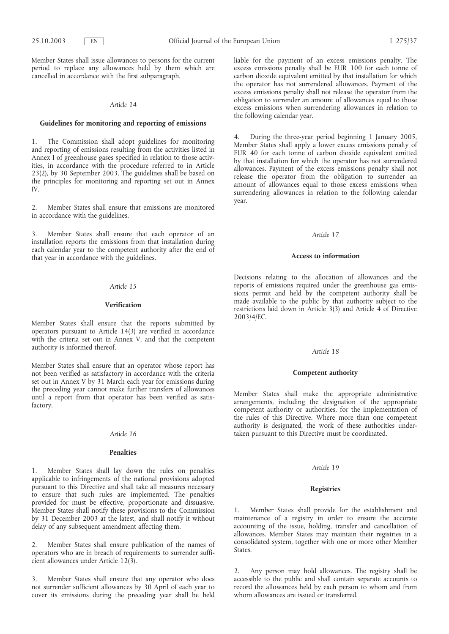Member States shall issue allowances to persons for the current period to replace any allowances held by them which are cancelled in accordance with the first subparagraph.

# *Article 14*

### **Guidelines for monitoring and reporting of emissions**

1. The Commission shall adopt guidelines for monitoring and reporting of emissions resulting from the activities listed in Annex I of greenhouse gases specified in relation to those activities, in accordance with the procedure referred to in Article 23(2), by 30 September 2003. The guidelines shall be based on the principles for monitoring and reporting set out in Annex IV.

2. Member States shall ensure that emissions are monitored in accordance with the guidelines.

3. Member States shall ensure that each operator of an installation reports the emissions from that installation during each calendar year to the competent authority after the end of that year in accordance with the guidelines.

# *Article 15*

# **Verification**

Member States shall ensure that the reports submitted by operators pursuant to Article 14(3) are verified in accordance with the criteria set out in Annex V, and that the competent authority is informed thereof.

Member States shall ensure that an operator whose report has not been verified as satisfactory in accordance with the criteria set out in Annex V by 31 March each year for emissions during the preceding year cannot make further transfers of allowances until a report from that operator has been verified as satisfactory.

# *Article 16*

## **Penalties**

Member States shall lay down the rules on penalties applicable to infringements of the national provisions adopted pursuant to this Directive and shall take all measures necessary to ensure that such rules are implemented. The penalties provided for must be effective, proportionate and dissuasive. Member States shall notify these provisions to the Commission by 31 December 2003 at the latest, and shall notify it without delay of any subsequent amendment affecting them.

2. Member States shall ensure publication of the names of operators who are in breach of requirements to surrender sufficient allowances under Article 12(3).

3. Member States shall ensure that any operator who does not surrender sufficient allowances by 30 April of each year to cover its emissions during the preceding year shall be held liable for the payment of an excess emissions penalty. The excess emissions penalty shall be EUR 100 for each tonne of carbon dioxide equivalent emitted by that installation for which the operator has not surrendered allowances. Payment of the excess emissions penalty shall not release the operator from the obligation to surrender an amount of allowances equal to those excess emissions when surrendering allowances in relation to the following calendar year.

4. During the three-year period beginning 1 January 2005, Member States shall apply a lower excess emissions penalty of EUR 40 for each tonne of carbon dioxide equivalent emitted by that installation for which the operator has not surrendered allowances. Payment of the excess emissions penalty shall not release the operator from the obligation to surrender an amount of allowances equal to those excess emissions when surrendering allowances in relation to the following calendar year.

# *Article 17*

#### **Access to information**

Decisions relating to the allocation of allowances and the reports of emissions required under the greenhouse gas emissions permit and held by the competent authority shall be made available to the public by that authority subject to the restrictions laid down in Article 3(3) and Article 4 of Directive 2003/4/EC.

# *Article 18*

### **Competent authority**

Member States shall make the appropriate administrative arrangements, including the designation of the appropriate competent authority or authorities, for the implementation of the rules of this Directive. Where more than one competent authority is designated, the work of these authorities undertaken pursuant to this Directive must be coordinated.

### *Article 19*

### **Registries**

1. Member States shall provide for the establishment and maintenance of a registry in order to ensure the accurate accounting of the issue, holding, transfer and cancellation of allowances. Member States may maintain their registries in a consolidated system, together with one or more other Member States.

2. Any person may hold allowances. The registry shall be accessible to the public and shall contain separate accounts to record the allowances held by each person to whom and from whom allowances are issued or transferred.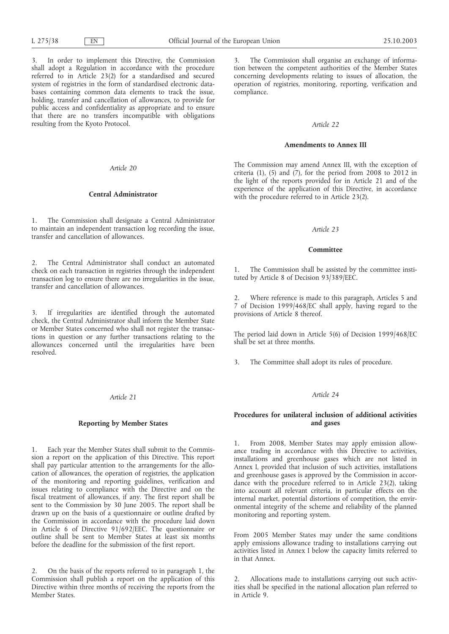3. In order to implement this Directive, the Commission shall adopt a Regulation in accordance with the procedure referred to in Article 23(2) for a standardised and secured system of registries in the form of standardised electronic databases containing common data elements to track the issue, holding, transfer and cancellation of allowances, to provide for public access and confidentiality as appropriate and to ensure that there are no transfers incompatible with obligations resulting from the Kyoto Protocol.

# *Article 20*

# **Central Administrator**

1. The Commission shall designate a Central Administrator to maintain an independent transaction log recording the issue, transfer and cancellation of allowances.

2. The Central Administrator shall conduct an automated check on each transaction in registries through the independent transaction log to ensure there are no irregularities in the issue, transfer and cancellation of allowances.

3. If irregularities are identified through the automated check, the Central Administrator shall inform the Member State or Member States concerned who shall not register the transactions in question or any further transactions relating to the allowances concerned until the irregularities have been resolved.

### *Article 21*

# **Reporting by Member States**

1. Each year the Member States shall submit to the Commission a report on the application of this Directive. This report shall pay particular attention to the arrangements for the allocation of allowances, the operation of registries, the application of the monitoring and reporting guidelines, verification and issues relating to compliance with the Directive and on the fiscal treatment of allowances, if any. The first report shall be sent to the Commission by 30 June 2005. The report shall be drawn up on the basis of a questionnaire or outline drafted by the Commission in accordance with the procedure laid down in Article 6 of Directive 91/692/EEC. The questionnaire or outline shall be sent to Member States at least six months before the deadline for the submission of the first report.

2. On the basis of the reports referred to in paragraph 1, the Commission shall publish a report on the application of this Directive within three months of receiving the reports from the Member States.

3. The Commission shall organise an exchange of information between the competent authorities of the Member States concerning developments relating to issues of allocation, the operation of registries, monitoring, reporting, verification and compliance.

#### *Article 22*

# **Amendments to Annex III**

The Commission may amend Annex III, with the exception of criteria (1), (5) and (7), for the period from 2008 to 2012 in the light of the reports provided for in Article 21 and of the experience of the application of this Directive, in accordance with the procedure referred to in Article 23(2).

#### *Article 23*

#### **Committee**

1. The Commission shall be assisted by the committee instituted by Article 8 of Decision 93/389/EEC.

Where reference is made to this paragraph, Articles 5 and 7 of Decision 1999/468/EC shall apply, having regard to the provisions of Article 8 thereof.

The period laid down in Article 5(6) of Decision 1999/468/EC shall be set at three months.

3. The Committee shall adopt its rules of procedure.

# *Article 24*

# **Procedures for unilateral inclusion of additional activities and gases**

1. From 2008, Member States may apply emission allowance trading in accordance with this Directive to activities, installations and greenhouse gases which are not listed in Annex I, provided that inclusion of such activities, installations and greenhouse gases is approved by the Commission in accordance with the procedure referred to in Article 23(2), taking into account all relevant criteria, in particular effects on the internal market, potential distortions of competition, the environmental integrity of the scheme and reliability of the planned monitoring and reporting system.

From 2005 Member States may under the same conditions apply emissions allowance trading to installations carrying out activities listed in Annex I below the capacity limits referred to in that Annex.

2. Allocations made to installations carrying out such activities shall be specified in the national allocation plan referred to in Article 9.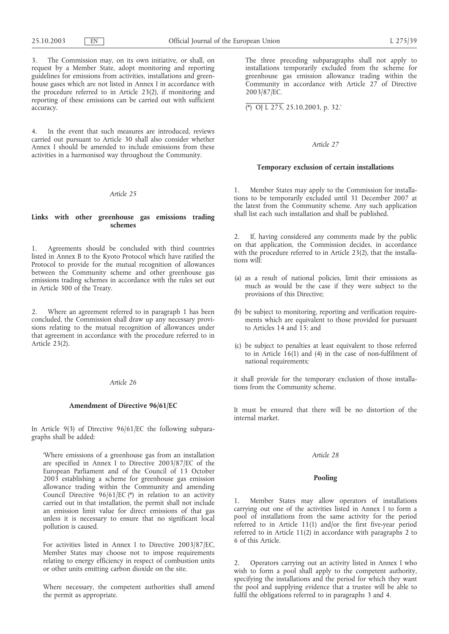3. The Commission may, on its own initiative, or shall, on request by a Member State, adopt monitoring and reporting guidelines for emissions from activities, installations and greenhouse gases which are not listed in Annex I in accordance with the procedure referred to in Article 23(2), if monitoring and reporting of these emissions can be carried out with sufficient accuracy.

4. In the event that such measures are introduced, reviews carried out pursuant to Article 30 shall also consider whether Annex I should be amended to include emissions from these activities in a harmonised way throughout the Community.

### *Article 25*

# **Links with other greenhouse gas emissions trading schemes**

1. Agreements should be concluded with third countries listed in Annex B to the Kyoto Protocol which have ratified the Protocol to provide for the mutual recognition of allowances between the Community scheme and other greenhouse gas emissions trading schemes in accordance with the rules set out in Article 300 of the Treaty.

2. Where an agreement referred to in paragraph 1 has been concluded, the Commission shall draw up any necessary provisions relating to the mutual recognition of allowances under that agreement in accordance with the procedure referred to in Article 23(2).

## *Article 26*

### **Amendment of Directive 96/61/EC**

In Article 9(3) of Directive 96/61/EC the following subparagraphs shall be added:

'Where emissions of a greenhouse gas from an installation are specified in Annex I to Directive 2003/87/EC of the European Parliament and of the Council of 13 October 2003 establishing a scheme for greenhouse gas emission allowance trading within the Community and amending Council Directive 96/61/EC (\*) in relation to an activity carried out in that installation, the permit shall not include an emission limit value for direct emissions of that gas unless it is necessary to ensure that no significant local pollution is caused.

For activities listed in Annex I to Directive 2003/87/EC, Member States may choose not to impose requirements relating to energy efficiency in respect of combustion units or other units emitting carbon dioxide on the site.

Where necessary, the competent authorities shall amend the permit as appropriate.

The three preceding subparagraphs shall not apply to installations temporarily excluded from the scheme for greenhouse gas emission allowance trading within the Community in accordance with Article 27 of Directive 2003/87/EC.

(\*) OJ L 275, 25.10.2003, p. 32.'

# *Article 27*

# **Temporary exclusion of certain installations**

1. Member States may apply to the Commission for installations to be temporarily excluded until 31 December 2007 at the latest from the Community scheme. Any such application shall list each such installation and shall be published.

2. If, having considered any comments made by the public on that application, the Commission decides, in accordance with the procedure referred to in Article 23(2), that the installations will:

- (a) as a result of national policies, limit their emissions as much as would be the case if they were subject to the provisions of this Directive;
- (b) be subject to monitoring, reporting and verification requirements which are equivalent to those provided for pursuant to Articles 14 and 15; and
- (c) be subject to penalties at least equivalent to those referred to in Article  $16(1)$  and (4) in the case of non-fulfilment of national requirements;

it shall provide for the temporary exclusion of those installations from the Community scheme.

It must be ensured that there will be no distortion of the internal market.

#### *Article 28*

# **Pooling**

Member States may allow operators of installations carrying out one of the activities listed in Annex I to form a pool of installations from the same activity for the period referred to in Article 11(1) and/or the first five-year period referred to in Article 11(2) in accordance with paragraphs 2 to 6 of this Article.

2. Operators carrying out an activity listed in Annex I who wish to form a pool shall apply to the competent authority, specifying the installations and the period for which they want the pool and supplying evidence that a trustee will be able to fulfil the obligations referred to in paragraphs 3 and 4.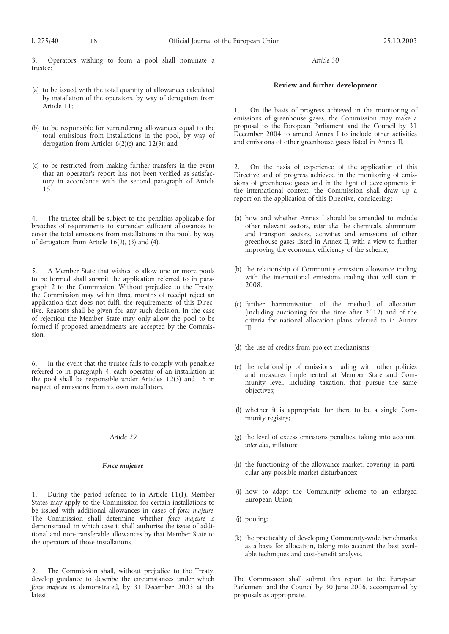3. Operators wishing to form a pool shall nominate a trustee:

# *Article 30*

# (a) to be issued with the total quantity of allowances calculated by installation of the operators, by way of derogation from Article 11;

- (b) to be responsible for surrendering allowances equal to the total emissions from installations in the pool, by way of derogation from Articles 6(2)(e) and 12(3); and
- (c) to be restricted from making further transfers in the event that an operator's report has not been verified as satisfactory in accordance with the second paragraph of Article 15.

The trustee shall be subject to the penalties applicable for breaches of requirements to surrender sufficient allowances to cover the total emissions from installations in the pool, by way of derogation from Article 16(2), (3) and (4).

5. A Member State that wishes to allow one or more pools to be formed shall submit the application referred to in paragraph 2 to the Commission. Without prejudice to the Treaty, the Commission may within three months of receipt reject an application that does not fulfil the requirements of this Directive. Reasons shall be given for any such decision. In the case of rejection the Member State may only allow the pool to be formed if proposed amendments are accepted by the Commission.

6. In the event that the trustee fails to comply with penalties referred to in paragraph 4, each operator of an installation in the pool shall be responsible under Articles 12(3) and 16 in respect of emissions from its own installation.

#### *Article 29*

## *Force majeure*

1. During the period referred to in Article 11(1), Member States may apply to the Commission for certain installations to be issued with additional allowances in cases of *force majeure*. The Commission shall determine whether *force majeure* is demonstrated, in which case it shall authorise the issue of additional and non-transferable allowances by that Member State to the operators of those installations.

2. The Commission shall, without prejudice to the Treaty, develop guidance to describe the circumstances under which *force majeure* is demonstrated, by 31 December 2003 at the latest.

# **Review and further development**

1. On the basis of progress achieved in the monitoring of emissions of greenhouse gases, the Commission may make a proposal to the European Parliament and the Council by 31 December 2004 to amend Annex I to include other activities and emissions of other greenhouse gases listed in Annex II.

2. On the basis of experience of the application of this Directive and of progress achieved in the monitoring of emissions of greenhouse gases and in the light of developments in the international context, the Commission shall draw up a report on the application of this Directive, considering:

- (a) how and whether Annex I should be amended to include other relevant sectors, *inter alia* the chemicals, aluminium and transport sectors, activities and emissions of other greenhouse gases listed in Annex II, with a view to further improving the economic efficiency of the scheme;
- (b) the relationship of Community emission allowance trading with the international emissions trading that will start in 2008;
- (c) further harmonisation of the method of allocation (including auctioning for the time after 2012) and of the criteria for national allocation plans referred to in Annex III;
- (d) the use of credits from project mechanisms;
- (e) the relationship of emissions trading with other policies and measures implemented at Member State and Community level, including taxation, that pursue the same objectives;
- (f) whether it is appropriate for there to be a single Community registry:
- (g) the level of excess emissions penalties, taking into account, *inter alia*, inflation;
- (h) the functioning of the allowance market, covering in particular any possible market disturbances;
- (i) how to adapt the Community scheme to an enlarged European Union;
- (j) pooling;
- (k) the practicality of developing Community-wide benchmarks as a basis for allocation, taking into account the best available techniques and cost-benefit analysis.

The Commission shall submit this report to the European Parliament and the Council by 30 June 2006, accompanied by proposals as appropriate.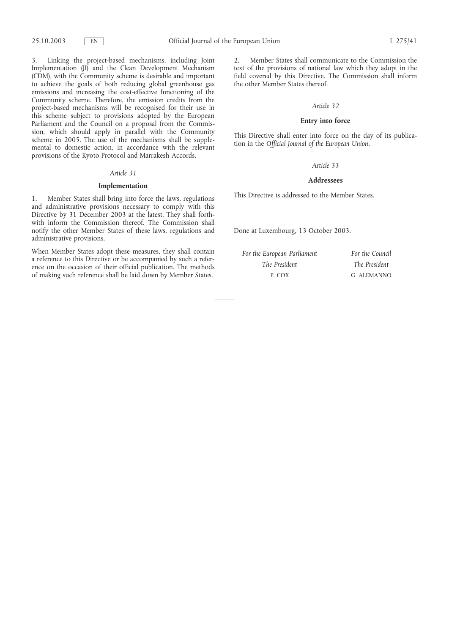3. Linking the project-based mechanisms, including Joint Implementation (JI) and the Clean Development Mechanism (CDM), with the Community scheme is desirable and important to achieve the goals of both reducing global greenhouse gas emissions and increasing the cost-effective functioning of the Community scheme. Therefore, the emission credits from the project-based mechanisms will be recognised for their use in this scheme subject to provisions adopted by the European Parliament and the Council on a proposal from the Commission, which should apply in parallel with the Community scheme in 2005. The use of the mechanisms shall be supplemental to domestic action, in accordance with the relevant provisions of the Kyoto Protocol and Marrakesh Accords.

# *Article 31*

# **Implementation**

1. Member States shall bring into force the laws, regulations and administrative provisions necessary to comply with this Directive by 31 December 2003 at the latest. They shall forthwith inform the Commission thereof. The Commission shall notify the other Member States of these laws, regulations and administrative provisions.

When Member States adopt these measures, they shall contain a reference to this Directive or be accompanied by such a reference on the occasion of their official publication. The methods of making such reference shall be laid down by Member States.

2. Member States shall communicate to the Commission the text of the provisions of national law which they adopt in the field covered by this Directive. The Commission shall inform the other Member States thereof.

# *Article 32*

# **Entry into force**

This Directive shall enter into force on the day of its publication in the *Official Journal of the European Union*.

# *Article 33*

# **Addressees**

This Directive is addressed to the Member States.

Done at Luxembourg, 13 October 2003.

*For the European Parliament The President* P. COX

*For the Council The President* G. ALEMANNO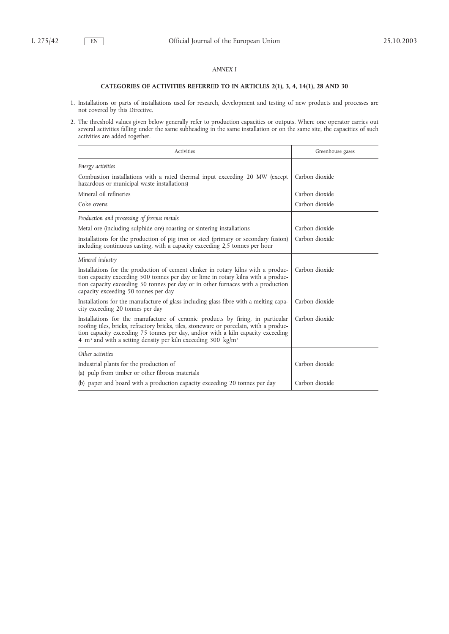# *ANNEX I*

# **CATEGORIES OF ACTIVITIES REFERRED TO IN ARTICLES 2(1), 3, 4, 14(1), 28 AND 30**

- 1. Installations or parts of installations used for research, development and testing of new products and processes are not covered by this Directive.
- 2. The threshold values given below generally refer to production capacities or outputs. Where one operator carries out several activities falling under the same subheading in the same installation or on the same site, the capacities of such activities are added together.

| Activities                                                                                                                                                                                                                                                                                                                                            | Greenhouse gases |
|-------------------------------------------------------------------------------------------------------------------------------------------------------------------------------------------------------------------------------------------------------------------------------------------------------------------------------------------------------|------------------|
| Energy activities                                                                                                                                                                                                                                                                                                                                     |                  |
| Combustion installations with a rated thermal input exceeding 20 MW (except<br>hazardous or municipal waste installations)                                                                                                                                                                                                                            | Carbon dioxide   |
| Mineral oil refineries                                                                                                                                                                                                                                                                                                                                | Carbon dioxide   |
| Coke ovens                                                                                                                                                                                                                                                                                                                                            | Carbon dioxide   |
| Production and processing of ferrous metals                                                                                                                                                                                                                                                                                                           |                  |
| Metal ore (including sulphide ore) roasting or sintering installations                                                                                                                                                                                                                                                                                | Carbon dioxide   |
| Installations for the production of pig iron or steel (primary or secondary fusion)<br>including continuous casting, with a capacity exceeding 2,5 tonnes per hour                                                                                                                                                                                    | Carbon dioxide   |
| Mineral industry                                                                                                                                                                                                                                                                                                                                      |                  |
| Installations for the production of cement clinker in rotary kilns with a produc-<br>tion capacity exceeding 500 tonnes per day or lime in rotary kilns with a produc-<br>tion capacity exceeding 50 tonnes per day or in other furnaces with a production<br>capacity exceeding 50 tonnes per day                                                    | Carbon dioxide   |
| Installations for the manufacture of glass including glass fibre with a melting capa-<br>city exceeding 20 tonnes per day                                                                                                                                                                                                                             | Carbon dioxide   |
| Installations for the manufacture of ceramic products by firing, in particular<br>roofing tiles, bricks, refractory bricks, tiles, stoneware or porcelain, with a produc-<br>tion capacity exceeding 75 tonnes per day, and/or with a kiln capacity exceeding<br>4 m <sup>3</sup> and with a setting density per kiln exceeding 300 kg/m <sup>3</sup> | Carbon dioxide   |
| Other activities                                                                                                                                                                                                                                                                                                                                      |                  |
| Industrial plants for the production of<br>(a) pulp from timber or other fibrous materials                                                                                                                                                                                                                                                            | Carbon dioxide   |
| (b) paper and board with a production capacity exceeding 20 tonnes per day                                                                                                                                                                                                                                                                            | Carbon dioxide   |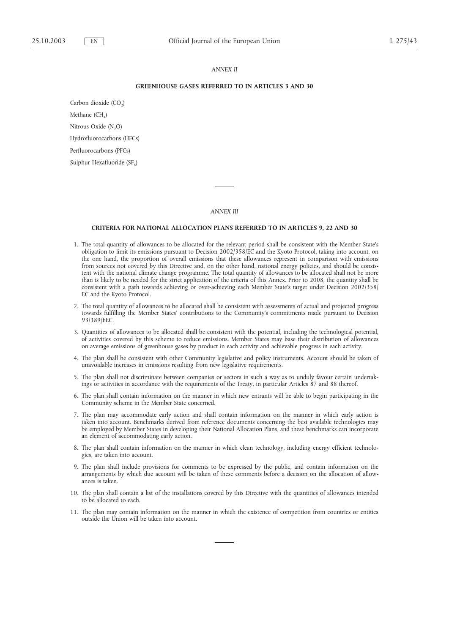# *ANNEX II*

#### **GREENHOUSE GASES REFERRED TO IN ARTICLES 3 AND 30**

Carbon dioxide (CO<sub>2</sub>)

Methane (CH<sub>4</sub>) Nitrous Oxide (N<sub>2</sub>O)

Hydrofluorocarbons (HFCs)

Perfluorocarbons (PFCs)

Sulphur Hexafluoride  $(SF_6)$ 

## *ANNEX III*

# **CRITERIA FOR NATIONAL ALLOCATION PLANS REFERRED TO IN ARTICLES 9, 22 AND 30**

- 1. The total quantity of allowances to be allocated for the relevant period shall be consistent with the Member State's obligation to limit its emissions pursuant to Decision 2002/358/EC and the Kyoto Protocol, taking into account, on the one hand, the proportion of overall emissions that these allowances represent in comparison with emissions from sources not covered by this Directive and, on the other hand, national energy policies, and should be consistent with the national climate change programme. The total quantity of allowances to be allocated shall not be more than is likely to be needed for the strict application of the criteria of this Annex. Prior to 2008, the quantity shall be consistent with a path towards achieving or over-achieving each Member State's target under Decision 2002/358/ EC and the Kyoto Protocol.
- 2. The total quantity of allowances to be allocated shall be consistent with assessments of actual and projected progress towards fulfilling the Member States' contributions to the Community's commitments made pursuant to Decision 93/389/EEC.
- 3. Quantities of allowances to be allocated shall be consistent with the potential, including the technological potential, of activities covered by this scheme to reduce emissions. Member States may base their distribution of allowances on average emissions of greenhouse gases by product in each activity and achievable progress in each activity.
- 4. The plan shall be consistent with other Community legislative and policy instruments. Account should be taken of unavoidable increases in emissions resulting from new legislative requirements.
- 5. The plan shall not discriminate between companies or sectors in such a way as to unduly favour certain undertakings or activities in accordance with the requirements of the Treaty, in particular Articles 87 and 88 thereof.
- 6. The plan shall contain information on the manner in which new entrants will be able to begin participating in the Community scheme in the Member State concerned.
- 7. The plan may accommodate early action and shall contain information on the manner in which early action is taken into account. Benchmarks derived from reference documents concerning the best available technologies may be employed by Member States in developing their National Allocation Plans, and these benchmarks can incorporate an element of accommodating early action.
- 8. The plan shall contain information on the manner in which clean technology, including energy efficient technologies, are taken into account.
- 9. The plan shall include provisions for comments to be expressed by the public, and contain information on the arrangements by which due account will be taken of these comments before a decision on the allocation of allowances is taken.
- 10. The plan shall contain a list of the installations covered by this Directive with the quantities of allowances intended to be allocated to each.
- 11. The plan may contain information on the manner in which the existence of competition from countries or entities outside the Union will be taken into account.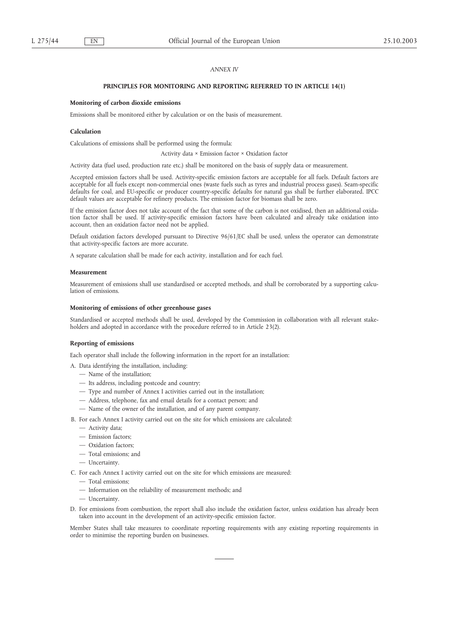### *ANNEX IV*

### **PRINCIPLES FOR MONITORING AND REPORTING REFERRED TO IN ARTICLE 14(1)**

#### **Monitoring of carbon dioxide emissions**

Emissions shall be monitored either by calculation or on the basis of measurement.

#### **Calculation**

Calculations of emissions shall be performed using the formula:

Activity data × Emission factor × Oxidation factor

Activity data (fuel used, production rate etc.) shall be monitored on the basis of supply data or measurement.

Accepted emission factors shall be used. Activity-specific emission factors are acceptable for all fuels. Default factors are acceptable for all fuels except non-commercial ones (waste fuels such as tyres and industrial process gases). Seam-specific defaults for coal, and EU-specific or producer country-specific defaults for natural gas shall be further elaborated. IPCC default values are acceptable for refinery products. The emission factor for biomass shall be zero.

If the emission factor does not take account of the fact that some of the carbon is not oxidised, then an additional oxidation factor shall be used. If activity-specific emission factors have been calculated and already take oxidation into account, then an oxidation factor need not be applied.

Default oxidation factors developed pursuant to Directive 96/61/EC shall be used, unless the operator can demonstrate that activity-specific factors are more accurate.

A separate calculation shall be made for each activity, installation and for each fuel.

#### **Measurement**

Measurement of emissions shall use standardised or accepted methods, and shall be corroborated by a supporting calculation of emissions.

### **Monitoring of emissions of other greenhouse gases**

Standardised or accepted methods shall be used, developed by the Commission in collaboration with all relevant stakeholders and adopted in accordance with the procedure referred to in Article 23(2).

#### **Reporting of emissions**

Each operator shall include the following information in the report for an installation:

A. Data identifying the installation, including:

- Name of the installation;
- Its address, including postcode and country;
- Type and number of Annex I activities carried out in the installation;
- Address, telephone, fax and email details for a contact person; and
- Name of the owner of the installation, and of any parent company.
- B. For each Annex I activity carried out on the site for which emissions are calculated:
	- Activity data;
	- Emission factors;
	- Oxidation factors;
	- Total emissions; and
	- Uncertainty.
- C. For each Annex I activity carried out on the site for which emissions are measured:
	- Total emissions;
	- Information on the reliability of measurement methods; and
	- Uncertainty.
- D. For emissions from combustion, the report shall also include the oxidation factor, unless oxidation has already been taken into account in the development of an activity-specific emission factor.

Member States shall take measures to coordinate reporting requirements with any existing reporting requirements in order to minimise the reporting burden on businesses.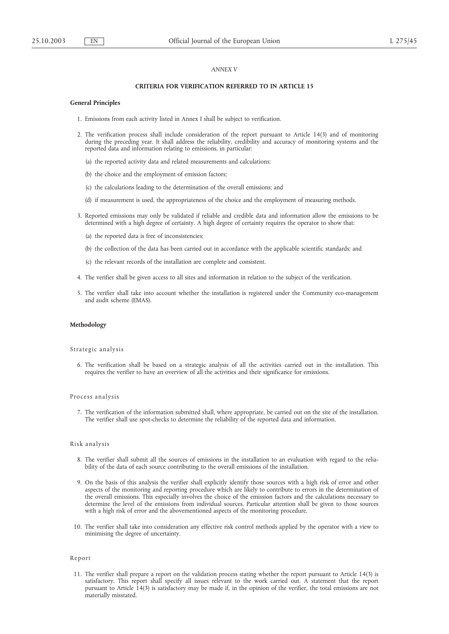# *ANNEX V*

## **CRITERIA FOR VERIFICATION REFERRED TO IN ARTICLE 15**

#### **General Principles**

- 1. Emissions from each activity listed in Annex I shall be subject to verification.
- 2. The verification process shall include consideration of the report pursuant to Article 14(3) and of monitoring during the preceding year. It shall address the reliability, credibility and accuracy of monitoring systems and the reported data and information relating to emissions, in particular:
	- (a) the reported activity data and related measurements and calculations;
	- (b) the choice and the employment of emission factors;
	- (c) the calculations leading to the determination of the overall emissions; and
	- (d) if measurement is used, the appropriateness of the choice and the employment of measuring methods.
- 3. Reported emissions may only be validated if reliable and credible data and information allow the emissions to be determined with a high degree of certainty. A high degree of certainty requires the operator to show that:
	- (a) the reported data is free of inconsistencies;
	- (b) the collection of the data has been carried out in accordance with the applicable scientific standards; and
	- (c) the relevant records of the installation are complete and consistent.
- 4. The verifier shall be given access to all sites and information in relation to the subject of the verification.
- 5. The verifier shall take into account whether the installation is registered under the Community eco-management and audit scheme (EMAS).

#### **Methodology**

### Strategic analysis

6. The verification shall be based on a strategic analysis of all the activities carried out in the installation. This requires the verifier to have an overview of all the activities and their significance for emissions.

#### Process analysis

7. The verification of the information submitted shall, where appropriate, be carried out on the site of the installation. The verifier shall use spot-checks to determine the reliability of the reported data and information.

## Risk analysis

- 8. The verifier shall submit all the sources of emissions in the installation to an evaluation with regard to the reliability of the data of each source contributing to the overall emissions of the installation.
- 9. On the basis of this analysis the verifier shall explicitly identify those sources with a high risk of error and other aspects of the monitoring and reporting procedure which are likely to contribute to errors in the determination of the overall emissions. This especially involves the choice of the emission factors and the calculations necessary to determine the level of the emissions from individual sources. Particular attention shall be given to those sources with a high risk of error and the abovementioned aspects of the monitoring procedure.
- 10. The verifier shall take into consideration any effective risk control methods applied by the operator with a view to minimising the degree of uncertainty.

# Report

11. The verifier shall prepare a report on the validation process stating whether the report pursuant to Article 14(3) is satisfactory. This report shall specify all issues relevant to the work carried out. A statement that the report pursuant to Article 14(3) is satisfactory may be made if, in the opinion of the verifier, the total emissions are not materially misstated.